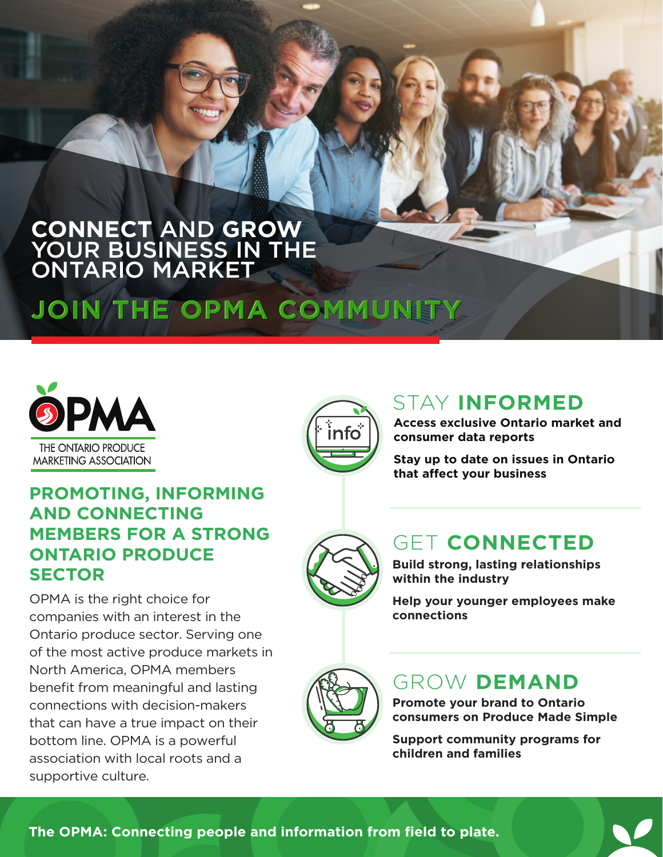#### **CONNECT** AND **GROW**  YOUR BUSINESS IN THE ONTARIO MARKET **CONNECT** AND **GROW**  YOUR BUSINESS IN THE ONTARIO MARKET

# **JOIN THE OPMA COMMUNITY JOIN THE OPMA COMMUNITY**





## STAY **INFORMED**

**Access exclusive Ontario market and consumer data reports**

**Stay up to date on issues in Ontario that affect your business** 

## **PROMOTING, INFORMING AND CONNECTING MEMBERS FOR A STRONG ONTARIO PRODUCE SECTOR**

OPMA is the right choice for companies with an interest in the Ontario produce sector. Serving one of the most active produce markets in North America, OPMA members benefit from meaningful and lasting connections with decision-makers that can have a true impact on their bottom line. OPMA is a powerful association with local roots and a supportive culture.



## GET **CONNECTED**

**Build strong, lasting relationships within the industry** 

**Help your younger employees make connections** 



## GROW **DEMAND**

**Promote your brand to Ontario consumers on Produce Made Simple** 

**Support community programs for children and families** 

**The OPMA: Connecting people and information from field to plate.**